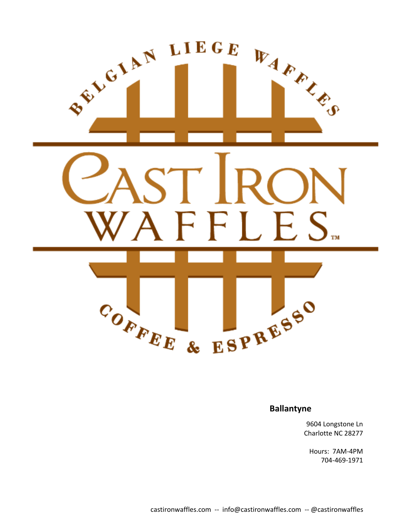

#### **Ballantyne**

9604 Longstone Ln Charlotte NC 28277

Hours: 7AM-4PM 704-469-1971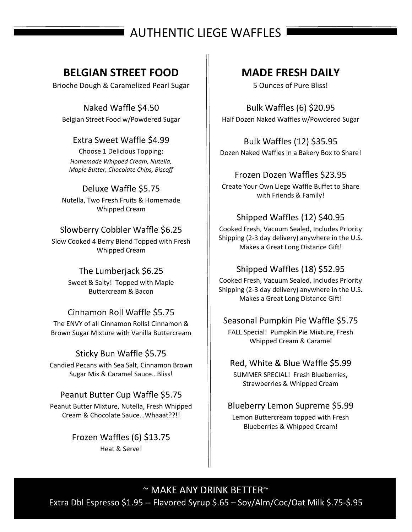# AUTHENTIC LIEGE WAFFLES

# **BELGIAN STREET FOOD**

Brioche Dough & Caramelized Pearl Sugar

Naked Waffle \$4.50 Belgian Street Food w/Powdered Sugar

## Extra Sweet Waffle \$4.99

Choose 1 Delicious Topping: *Homemade Whipped Cream, Nutella, Maple Butter, Chocolate Chips, Biscoff*

## Deluxe Waffle \$5.75

Nutella, Two Fresh Fruits & Homemade Whipped Cream

## Slowberry Cobbler Waffle \$6.25

Slow Cooked 4 Berry Blend Topped with Fresh Whipped Cream

#### The Lumberjack \$6.25

Sweet & Salty! Topped with Maple Buttercream & Bacon

## Cinnamon Roll Waffle \$5.75

The ENVY of all Cinnamon Rolls! Cinnamon & Brown Sugar Mixture with Vanilla Buttercream

## Sticky Bun Waffle \$5.75

Candied Pecans with Sea Salt, Cinnamon Brown Sugar Mix & Caramel Sauce…Bliss!

## Peanut Butter Cup Waffle \$5.75

Peanut Butter Mixture, Nutella, Fresh Whipped Cream & Chocolate Sauce…Whaaat??!!

> Frozen Waffles (6) \$13.75 Heat & Serve!

## **MADE FRESH DAILY**

5 Ounces of Pure Bliss!

Bulk Waffles (6) \$20.95 Half Dozen Naked Waffles w/Powdered Sugar

Bulk Waffles (12) \$35.95 Dozen Naked Waffles in a Bakery Box to Share!

## Frozen Dozen Waffles \$23.95

Create Your Own Liege Waffle Buffet to Share with Friends & Family!

## Shipped Waffles (12) \$40.95

Cooked Fresh, Vacuum Sealed, Includes Priority Shipping (2-3 day delivery) anywhere in the U.S. Makes a Great Long Distance Gift!

## Shipped Waffles (18) \$52.95

Cooked Fresh, Vacuum Sealed, Includes Priority Shipping (2-3 day delivery) anywhere in the U.S. Makes a Great Long Distance Gift!

## Seasonal Pumpkin Pie Waffle \$5.75

FALL Special! Pumpkin Pie Mixture, Fresh Whipped Cream & Caramel

## Red, White & Blue Waffle \$5.99

SUMMER SPECIAL! Fresh Blueberries, Strawberries & Whipped Cream

# Blueberry Lemon Supreme \$5.99

Lemon Buttercream topped with Fresh Blueberries & Whipped Cream!

 $\sim$  MAKE ANY DRINK BETTER $\sim$ Extra Dbl Espresso \$1.95 -- Flavored Syrup \$.65 – Soy/Alm/Coc/Oat Milk \$.75-\$.95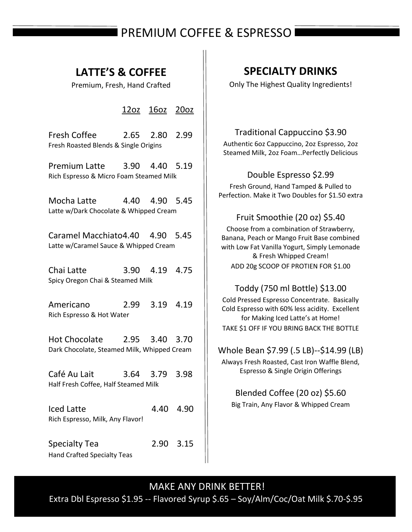# PREMIUM COFFEE & ESPRESSO

## **LATTE'S & COFFEE**

Premium, Fresh, Hand Crafted

12oz 16oz 20oz

Fresh Coffee 2.65 2.80 2.99 Fresh Roasted Blends & Single Origins

Premium Latte 3.90 4.40 5.19 Rich Espresso & Micro Foam Steamed Milk

Mocha Latte 4.40 4.90 5.45 Latte w/Dark Chocolate & Whipped Cream

Caramel Macchiato4.40 4.90 5.45 Latte w/Caramel Sauce & Whipped Cream

Chai Latte 3.90 4.19 4.75 Spicy Oregon Chai & Steamed Milk

Americano 2.99 3.19 4.19 Rich Espresso & Hot Water

Hot Chocolate 2.95 3.40 3.70 Dark Chocolate, Steamed Milk, Whipped Cream

Café Au Lait 3.64 3.79 3.98 Half Fresh Coffee, Half Steamed Milk

Iced Latte 4.40 4.90 Rich Espresso, Milk, Any Flavor!

Specialty Tea 2.90 3.15 Hand Crafted Specialty Teas

Traditional Cappuccino \$3.90 Authentic 6oz Cappuccino, 2oz Espresso, 2oz Steamed Milk, 2oz Foam…Perfectly Delicious

**SPECIALTY DRINKS**

Only The Highest Quality Ingredients!

## Double Espresso \$2.99

Fresh Ground, Hand Tamped & Pulled to Perfection. Make it Two Doubles for \$1.50 extra

## Fruit Smoothie (20 oz) \$5.40

Choose from a combination of Strawberry, Banana, Peach or Mango Fruit Base combined with Low Fat Vanilla Yogurt, Simply Lemonade & Fresh Whipped Cream! ADD 20g SCOOP OF PROTIEN FOR \$1.00

## Toddy (750 ml Bottle) \$13.00

Cold Pressed Espresso Concentrate. Basically Cold Espresso with 60% less acidity. Excellent for Making Iced Latte's at Home! TAKE \$1 OFF IF YOU BRING BACK THE BOTTLE

## Whole Bean \$7.99 (.5 LB)--\$14.99 (LB)

Always Fresh Roasted, Cast Iron Waffle Blend, Espresso & Single Origin Offerings

Blended Coffee (20 oz) \$5.60 Big Train, Any Flavor & Whipped Cream

## MAKE ANY DRINK BETTER!

Extra Dbl Espresso \$1.95 -- Flavored Syrup \$.65 – Soy/Alm/Coc/Oat Milk \$.70-\$.95